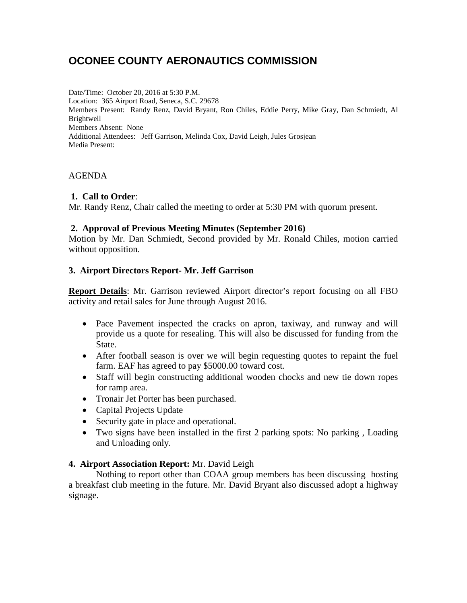# **OCONEE COUNTY AERONAUTICS COMMISSION**

Date/Time: October 20, 2016 at 5:30 P.M. Location: 365 Airport Road, Seneca, S.C. 29678 Members Present: Randy Renz, David Bryant, Ron Chiles, Eddie Perry, Mike Gray, Dan Schmiedt, Al Brightwell Members Absent: None Additional Attendees: Jeff Garrison, Melinda Cox, David Leigh, Jules Grosjean Media Present:

## AGENDA

## **1. Call to Order**:

Mr. Randy Renz, Chair called the meeting to order at 5:30 PM with quorum present.

## **2. Approval of Previous Meeting Minutes (September 2016)**

Motion by Mr. Dan Schmiedt, Second provided by Mr. Ronald Chiles, motion carried without opposition.

## **3. Airport Directors Report- Mr. Jeff Garrison**

**Report Details**: Mr. Garrison reviewed Airport director's report focusing on all FBO activity and retail sales for June through August 2016.

- Pace Pavement inspected the cracks on apron, taxiway, and runway and will provide us a quote for resealing. This will also be discussed for funding from the State.
- After football season is over we will begin requesting quotes to repaint the fuel farm. EAF has agreed to pay \$5000.00 toward cost.
- Staff will begin constructing additional wooden chocks and new tie down ropes for ramp area.
- Tronair Jet Porter has been purchased.
- Capital Projects Update
- Security gate in place and operational.
- Two signs have been installed in the first 2 parking spots: No parking , Loading and Unloading only.

## **4. Airport Association Report:** Mr. David Leigh

Nothing to report other than COAA group members has been discussing hosting a breakfast club meeting in the future. Mr. David Bryant also discussed adopt a highway signage.